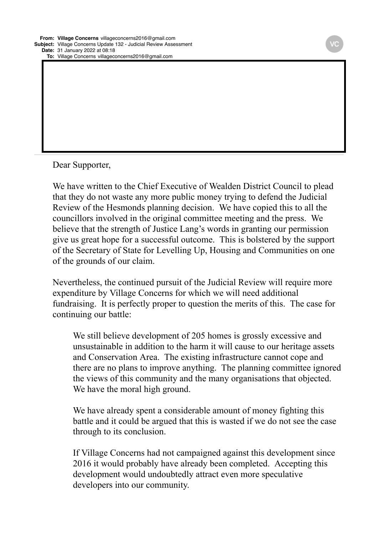**Date:** 31 January 2022 at 08:18 **To:** Village Concerns villageconcerns2016@gmail.com

Dear Supporter,

We have written to the Chief Executive of Wealden District Council to plead that they do not waste any more public money trying to defend the Judicial Review of the Hesmonds planning decision. We have copied this to all the councillors involved in the original committee meeting and the press. We believe that the strength of Justice Lang's words in granting our permission give us great hope for a successful outcome. This is bolstered by the support of the Secretary of State for Levelling Up, Housing and Communities on one of the grounds of our claim.

**Bcc:** Hesterbandit@outlook.com, Carole Ridout caroleridout@icloud.com, Fran Sansom fransansom@hotmail.com, Frances Mills

Nevertheless, the continued pursuit of the Judicial Review will require more expenditure by Village Concerns for which we will need additional fundraising. It is perfectly proper to question the merits of this. The case for continuing our battle:

We still believe development of 205 homes is grossly excessive and unsustainable in addition to the harm it will cause to our heritage assets and Conservation Area. The existing infrastructure cannot cope and there are no plans to improve anything. The planning committee ignored the views of this community and the many organisations that objected. We have the moral high ground.

We have already spent a considerable amount of money fighting this battle and it could be argued that this is wasted if we do not see the case through to its conclusion.

If Village Concerns had not campaigned against this development since 2016 it would probably have already been completed. Accepting this development would undoubtedly attract even more speculative developers into our community.